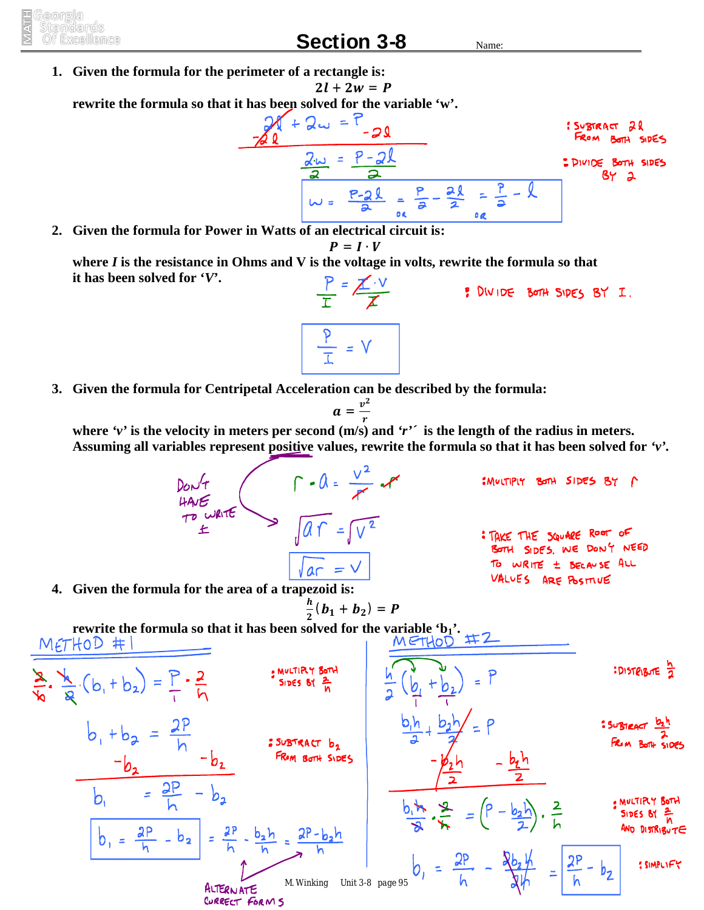eorreila itamo arro s

## **Section 3-8** Name:

**1. Given the formula for the perimeter of a rectangle is:**  $2l + 2w = P$ 

**rewrite the formula so that it has been solved for the variable 'w'.**

$$
\frac{2N+2w=7}{2N} = \frac{2N}{2}
$$
  
From Ban is 5000.  
From Ban is 5000.  
From Ban is 5000.  
From Ban is 5000.  
By 2  
Substituting 8y

**2. Given the formula for Power in Watts of an electrical circuit is:**

$$
P = I \cdot V
$$

**where** *I* **is the resistance in Ohms and V is the voltage in volts, rewrite the formula so that it has been solved for '***V***'.**  $\frac{P}{T} = \frac{\cancel{X} \cdot V}{\cancel{X}}$ P DIVIDE BOTH SIDES BY I.

 $\frac{p}{T}$  = V

**3. Given the formula for Centripetal Acceleration can be described by the formula:**

$$
a=\frac{v^2}{r}
$$

**where** *'v'* **is the velocity in meters per second (m/s) and** *'r'´* **is the length of the radius in meters. Assuming all variables represent positive values, rewrite the formula so that it has been solved for** *'v'.*

> DON'T<br>HAVE WRITE >  $\sqrt{aT} = \sqrt{v^2}$ : MULTIPLY BOTH SIDES BY A : TAKE THE SQUARE ROOT OF BOTH SIDES. WE DON'T NEED TO WRITE ± BECAUSE ALL  $ar = v$ VALUES ARE POSTIVE ࢎ

**4. Given the formula for the area of a trapezoid is:**

$$
\frac{i}{2}(b_1+b_2)=P
$$

 $\mathbf{z}$ **rewrite the formula so that it has been solved for the variable 'b1'.** MULTIRY BOTH<br>SIDES BY **: DISTRIBUTE** 7  $\frac{a}{b} \cdot \frac{b}{a} (b_1 + b_2) = \frac{b}{b} \cdot \frac{2}{b}$  $b_1 + b_2 = \frac{2P}{h}$ SUBTRACT b<sub>2</sub>  $\frac{-b_2}{b_1} = \frac{2P}{b_1} - b_2$ AULTIRY BOTH  $\frac{b_1 + b_2}{2}$  =  $\left(P - \frac{b_2 b}{2}\right)$ .  $\frac{2}{b_1}$ SIDES BY  $\frac{2}{h}$ AND DISTRIBUTE  $b_1 = \frac{2P}{h} - b_2 = \frac{2P}{h} - \frac{b_2h}{h} = \frac{2P - b_2h}{h}$  $b_1 = \frac{2P}{h}$  - $=\frac{2P}{h} - b_2$ : SIMPLIFY *M. Winking Unit 3-8 page 95*ALTERNATE CURRECT FORMS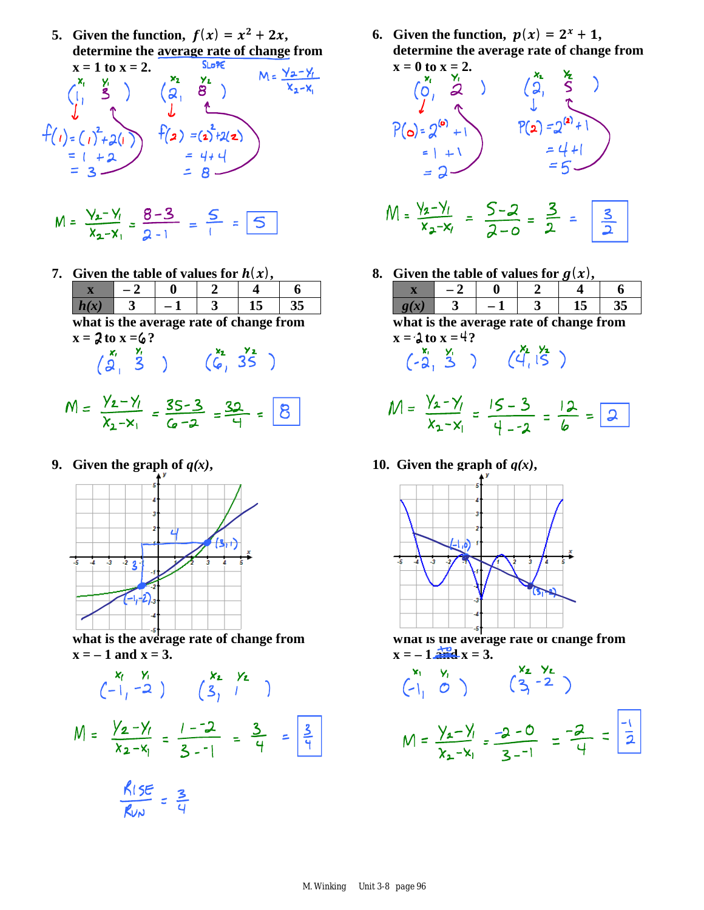**5.** Given the function,  $f(x) = x^2 + 2x$ , **determine the average rate of change from**  <u>Yr.</u>

$$
x = 1 \text{ to } x = 2.
$$
\n
$$
\begin{pmatrix} x_1 & y_1 \\ y_1 & \frac{y_2}{2} \\ \frac{y_1}{2} & \frac{y_2}{2} \\ \frac{y_1}{2} & \frac{y_2}{2} \\ \frac{y_1}{2} & \frac{y_2}{2} \\ \frac{y_1}{2} & \frac{y_2}{2} \\ \frac{y_1}{2} & \frac{y_2}{2} \\ \frac{y_1}{2} & \frac{y_2}{2} \\ \frac{y_1}{2} & \frac{y_2}{2} \\ \frac{y_1}{2} & \frac{y_2}{2} \\ \frac{y_1}{2} & \frac{y_2}{2} \\ \frac{y_1}{2} & \frac{y_2}{2} \\ \frac{y_1}{2} & \frac{y_2}{2} \\ \frac{y_1}{2} & \frac{y_2}{2} \\ \frac{y_1}{2} & \frac{y_2}{2} \end{pmatrix}
$$
\n
$$
M = \frac{y_2 - y_1}{x_2 - x_1}
$$
\n
$$
M = \frac{y_2 - y_1}{x_2 - x_1}
$$

$$
M = \frac{V_2 - V_1}{X_2 - X_1} = \frac{8 - 3}{2 - 1} = \frac{5}{1} = \boxed{5}
$$

**7. Given the table of values for**  $h(x)$ **,** 

| what is the average rate of change from |  |  |  |  |  |  |  |  |  |
|-----------------------------------------|--|--|--|--|--|--|--|--|--|
| $x = 2$ to $x = 6$ ?                    |  |  |  |  |  |  |  |  |  |
|                                         |  |  |  |  |  |  |  |  |  |
|                                         |  |  |  |  |  |  |  |  |  |

$$
M = \frac{y_{2} - y_{1}}{x_{2} - x_{1}} = \frac{35 - 3}{6 - 2} = \frac{32}{4} = \boxed{8}
$$

**9.** Given the graph of  $q(x)$ ,



**what is the average rate of change from**   $x = -1$  and  $x = 3$ .

$$
\begin{pmatrix} x_1 & y_1 \\ -1 & -2 \end{pmatrix} \qquad \begin{pmatrix} x_2 & y_2 \\ 3 & 1 \end{pmatrix}
$$
  

$$
M = \frac{y_2 - y_1}{x_2 - x_1} = \frac{1 - 2}{3 - 1} = \frac{3}{4} = \frac{3}{4}
$$
  

$$
\frac{R \cdot 5E}{R \cdot 2} = \frac{3}{4}
$$

**6.** Given the function,  $p(x) = 2^x + 1$ , **determine the average rate of change from** 



**8. Given the table of values for**  $g(x)$ **,** 

| what is the average rate of change from |  |  |  |  |  |  |  |  |
|-----------------------------------------|--|--|--|--|--|--|--|--|

 $x = \lambda$  to  $x = 4$ ?

- $M = \frac{y_2 y_1}{x_2 x_1} = \frac{15 3}{4 2} = \frac{12}{6} = \boxed{2}$
- **10.** Given the graph of  $q(x)$ ,



**what is the average rate of change from**   $x = -1$  and  $x = 3$ .

$$
\begin{pmatrix} x_1 & y_1 \\ -1_1 & 0 \end{pmatrix} \qquad \begin{pmatrix} x_2 & y_2 \\ 3_1 & -2 \end{pmatrix}
$$
  

$$
M = \frac{y_2 - y_1}{x_2 - x_1} = \frac{-2 - 0}{3 - 1} = \frac{-2}{4} = \frac{-1}{2}
$$